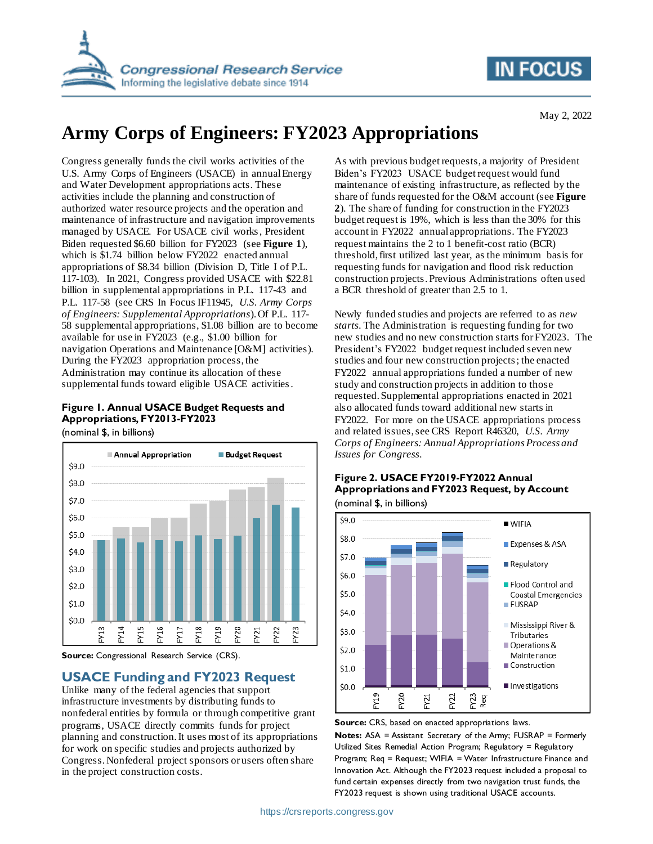

# **IN FOCUS**

May 2, 2022

# **Army Corps of Engineers: FY2023 Appropriations**

Congress generally funds the civil works activities of the U.S. Army Corps of Engineers (USACE) in annual Energy and Water Development appropriations acts. These activities include the planning and construction of authorized water resource projects and the operation and maintenance of infrastructure and navigation improvements managed by USACE. For USACE civil works, President Biden requested \$6.60 billion for FY2023 (see **[Figure 1](#page-0-0)**), which is \$1.74 billion below FY2022 enacted annual appropriations of \$8.34 billion (Division D, Title I of P.L. 117-103). In 2021, Congress provided USACE with \$22.81 billion in supplemental appropriations in P.L. 117-43 and P.L. 117-58 (see CRS In Focus IF11945, *U.S. Army Corps of Engineers: Supplemental Appropriations*). Of P.L. 117- 58 supplemental appropriations, \$1.08 billion are to become available for use in FY2023 (e.g., \$1.00 billion for navigation Operations and Maintenance [O&M] activities). During the FY2023 appropriation process, the Administration may continue its allocation of these supplemental funds toward eligible USACE activities.

### <span id="page-0-0"></span>**Figure 1. Annual USACE Budget Requests and Appropriations, FY2013-FY2023**

(nominal \$, in billions)



**Source:** Congressional Research Service (CRS).

### **USACE Funding and FY2023 Request**

Unlike many of the federal agencies that support infrastructure investments by distributing funds to nonfederal entities by formula or through competitive grant programs, USACE directly commits funds for project planning and construction. It uses most of its appropriations for work on specific studies and projects authorized by Congress. Nonfederal project sponsors or users often share in the project construction costs.

As with previous budget requests, a majority of President Biden's FY2023 USACE budget request would fund maintenance of existing infrastructure, as reflected by the share of funds requested for the O&M account (see **[Figure](#page-0-1)  [2](#page-0-1)**). The share of funding for construction in the FY2023 budget request is 19%, which is less than the 30% for this account in FY2022 annual appropriations. The FY2023 request maintains the 2 to 1 benefit-cost ratio (BCR) threshold, first utilized last year, as the minimum basis for requesting funds for navigation and flood risk reduction construction projects. Previous Administrations often used a BCR threshold of greater than 2.5 to 1.

Newly funded studies and projects are referred to as *new starts*. The Administration is requesting funding for two new studies and no new construction starts for FY2023. The President's FY2022 budget request included seven new studies and four new construction projects; the enacted FY2022 annual appropriations funded a number of new study and construction projects in addition to those requested. Supplemental appropriations enacted in 2021 also allocated funds toward additional new starts in FY2022. For more on the USACE appropriations process and related issues, see CRS Report R46320, *U.S. Army Corps of Engineers: Annual Appropriations Process and Issues for Congress*.

#### <span id="page-0-1"></span>**Figure 2. USACE FY2019-FY2022 Annual Appropriations and FY2023 Request, by Account** (nominal \$, in billions)



**Source:** CRS, based on enacted appropriations laws.

**Notes:** ASA = Assistant Secretary of the Army; FUSRAP = Formerly Utilized Sites Remedial Action Program; Regulatory = Regulatory Program; Req = Request; WIFIA = Water Infrastructure Finance and Innovation Act. Although the FY2023 request included a proposal to fund certain expenses directly from two navigation trust funds, the FY2023 request is shown using traditional USACE accounts.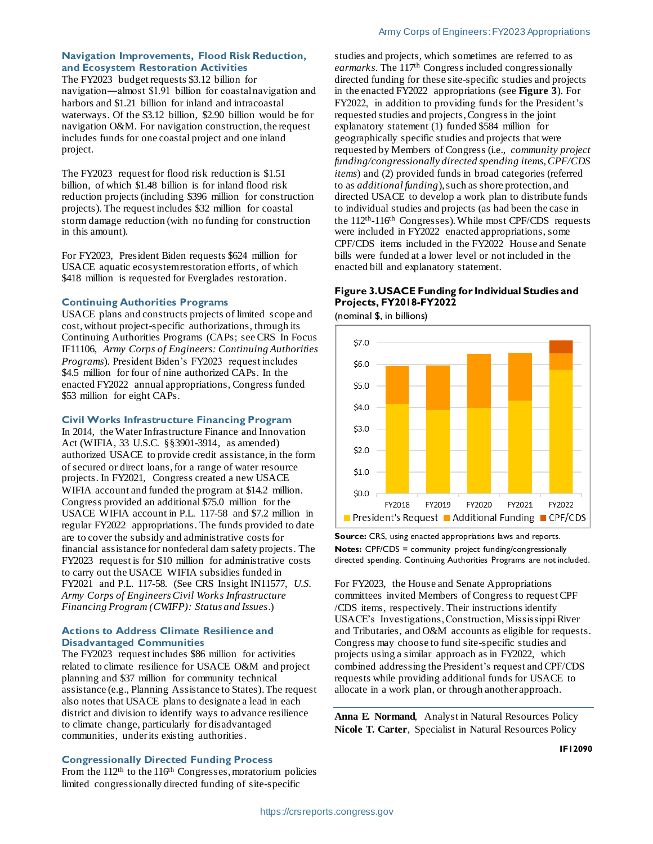#### **Navigation Improvements, Flood Risk Reduction, and Ecosystem Restoration Activities**

The FY2023 budget requests \$3.12 billion for navigation―almost \$1.91 billion for coastal navigation and harbors and \$1.21 billion for inland and intracoastal waterways. Of the \$3.12 billion, \$2.90 billion would be for navigation O&M. For navigation construction, the request includes funds for one coastal project and one inland project.

The FY2023 request for flood risk reduction is \$1.51 billion, of which \$1.48 billion is for inland flood risk reduction projects (including \$396 million for construction projects). The request includes \$32 million for coastal storm damage reduction (with no funding for construction in this amount).

For FY2023, President Biden requests \$624 million for USACE aquatic ecosystem restoration efforts, of which \$418 million is requested for Everglades restoration.

#### **Continuing Authorities Programs**

USACE plans and constructs projects of limited scope and cost,without project-specific authorizations, through its Continuing Authorities Programs (CAPs; see CRS In Focus IF11106, *Army Corps of Engineers: Continuing Authorities Programs*). President Biden's FY2023 request includes \$4.5 million for four of nine authorized CAPs. In the enacted FY2022 annual appropriations, Congress funded \$53 million for eight CAPs.

#### **Civil Works Infrastructure Financing Program**

In 2014, the Water Infrastructure Finance and Innovation Act (WIFIA, 33 U.S.C. §§3901-3914, as amended) authorized USACE to provide credit assistance, in the form of secured or direct loans, for a range of water resource projects. In FY2021, Congress created a new USACE WIFIA account and funded the program at \$14.2 million. Congress provided an additional \$75.0 million for the USACE WIFIA account in P.L. 117-58 and \$7.2 million in regular FY2022 appropriations. The funds provided to date are to cover the subsidy and administrative costs for financial assistance for nonfederal dam safety projects. The FY2023 request is for \$10 million for administrative costs to carry out the USACE WIFIA subsidies funded in FY2021 and P.L. 117-58. (See CRS Insight IN11577, *U.S. Army Corps of Engineers Civil Works Infrastructure Financing Program (CWIFP): Status and Issues*.)

#### **Actions to Address Climate Resilience and Disadvantaged Communities**

The FY2023 request includes \$86 million for activities related to climate resilience for USACE O&M and project planning and \$37 million for community technical assistance (e.g., Planning Assistance to States). The request also notes that USACE plans to designate a lead in each district and division to identify ways to advance resilience to climate change, particularly for disadvantaged communities, under its existing authorities.

#### **Congressionally Directed Funding Process**

From the 112<sup>th</sup> to the 116<sup>th</sup> Congresses, moratorium policies limited congressionally directed funding of site-specific

studies and projects, which sometimes are referred to as *earmarks*. The 117th Congress included congressionally directed funding for these site-specific studies and projects in the enacted FY2022 appropriations (see **[Figure 3](#page-1-0)**). For FY2022, in addition to providing funds for the President's requested studies and projects, Congress in the joint explanatory statement (1) funded \$584 million for geographically specific studies and projects that were requested by Members of Congress (i.e., *community project funding/congressionally directed spending items, CPF/CDS items*) and (2) provided funds in broad categories (referred to as *additional funding*), such as shore protection, and directed USACE to develop a work plan to distribute funds to individual studies and projects (as had been the case in the 112<sup>th</sup>-116<sup>th</sup> Congresses). While most CPF/CDS requests were included in FY2022 enacted appropriations, some CPF/CDS items included in the FY2022 House and Senate bills were funded at a lower level or not included in the enacted bill and explanatory statement.

#### <span id="page-1-0"></span>**Figure 3.USACE Funding for Individual Studies and Projects, FY2018-FY2022**

(nominal \$, in billions)



**Source:** CRS, using enacted appropriations laws and reports. **Notes:** CPF/CDS = community project funding/congressionally directed spending. Continuing Authorities Programs are not included.

For FY2023, the House and Senate Appropriations committees invited Members of Congress to request CPF /CDS items, respectively. Their instructions identify USACE's Investigations, Construction, Mississippi River and Tributaries, and O&M accounts as eligible for requests. Congress may choose to fund site-specific studies and projects using a similar approach as in FY2022, which combined addressing the President's request and CPF/CDS requests while providing additional funds for USACE to allocate in a work plan, or through another approach.

**Anna E. Normand**, Analyst in Natural Resources Policy **Nicole T. Carter**, Specialist in Natural Resources Policy